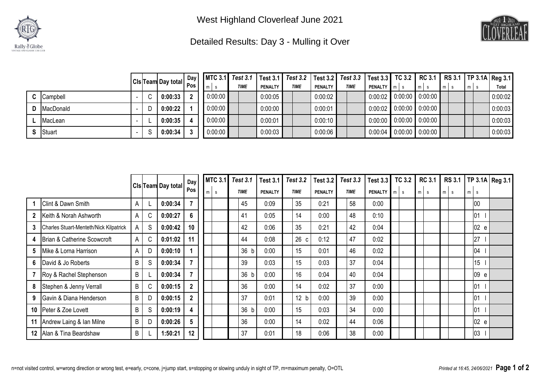



## Detailed Results: Day 3 - Mulling it Over

|                    |   |                                       | Day |         | MTC 3.1   Test 3.1   Test 3.1   Test 3.2   Test 3.2   Test 3.3   Test 3.3   TC 3.2   RC 3.1   RS 3.1   TP 3.1A   Reg 3.1 |                |             |                |             |                    |                   |   |       |              |
|--------------------|---|---------------------------------------|-----|---------|--------------------------------------------------------------------------------------------------------------------------|----------------|-------------|----------------|-------------|--------------------|-------------------|---|-------|--------------|
|                    |   | CIs <sup> </sup> Team Day total   Pos |     |         | <b>TIME</b>                                                                                                              | <b>PENALTY</b> | <b>TIME</b> | <b>PENALTY</b> | <b>TIME</b> | <b>PENALTY</b> m s | $m$ s             | m | $m$ s | <b>Total</b> |
| C Campbell         |   | 0:00:33                               |     | 0:00:00 |                                                                                                                          | 0:00:05        |             | 0:00:02        |             | 0:00:02            | $0:00:00$ 0:00:00 |   |       | 0:00:02      |
| <b>D</b> MacDonald |   | 0:00:22                               |     | 0:00:00 |                                                                                                                          | 0:00:00        |             | 0:00:01        |             | 0:00:02            | $0:00:00$ 0:00:00 |   |       | 0:00:03      |
| MacLean            |   | 0:00:35                               |     | 0:00:00 |                                                                                                                          | 0:00:01        |             | 0:00:10        |             | 0:00:00            | $0:00:00$ 0:00:00 |   |       | 0:00:03      |
| <b>S</b> Stuart    | S | 0:00:34                               |     | 0:00:00 |                                                                                                                          | 0:00:03        |             | 0:00:06        |             | 0:00:04            | $0:00:00$ 0:00:00 |   |       | 0:00:03      |

|              |                                               |   |    |                           | Day            | <b>MTC 3.1</b> | <b>Test 3.1</b> | <b>Test 3.1</b> | <b>Test 3.2</b> | <b>Test 3.2</b> | <b>Test 3.3</b> | <b>Test 3.3</b> |   | <b>TC 3.2</b> | <b>RC 3.1</b>     | <b>RS 3.1</b> |                  |      | TP 3.1A Reg 3.1 |
|--------------|-----------------------------------------------|---|----|---------------------------|----------------|----------------|-----------------|-----------------|-----------------|-----------------|-----------------|-----------------|---|---------------|-------------------|---------------|------------------|------|-----------------|
|              |                                               |   |    | <b>Cis Team Day total</b> | Pos            | $m$ s          | <b>TIME</b>     | <b>PENALTY</b>  | <b>TIME</b>     | <b>PENALTY</b>  | <b>TIME</b>     | <b>PENALTY</b>  | m | s.            | $m \, \vert \, s$ | $m$ s         | m l<br>s         |      |                 |
|              | <b>Clint &amp; Dawn Smith</b>                 | A |    | 0:00:34                   |                |                | 45              | 0:09            | 35              | 0:21            | 58              | 0:00            |   |               |                   |               | 100              |      |                 |
| $\mathbf{2}$ | Keith & Norah Ashworth                        | A | C. | 0:00:27                   | 6              |                | 41              | 0:05            | 14              | 0:00            | 48              | 0:10            |   |               |                   |               | 01               |      |                 |
| 3            | <b>Charles Stuart-Menteth/Nick Kilpatrick</b> | A | S  | 0:00:42                   | 10             |                | 42              | 0:06            | 35              | 0:21            | 42              | 0:04            |   |               |                   |               |                  | 02 e |                 |
| 4            | Brian & Catherine Scowcroft                   | A |    | 0:01:02                   | 11             |                | 44              | 0:08            | 26<br>C         | 0:12            | 47              | 0:02            |   |               |                   |               | 27               |      |                 |
| 5            | Mike & Lorna Harrison                         | A |    | 0:00:10                   |                |                | 36 b            | 0:00            | 15              | 0:01            | 46              | 0:02            |   |               |                   |               | 04               |      |                 |
| 6            | David & Jo Roberts                            | B | S  | 0:00:34                   |                |                | 39              | 0:03            | 15              | 0:03            | 37              | 0:04            |   |               |                   |               | 15 <sup>15</sup> |      |                 |
|              | Roy & Rachel Stephenson                       | B |    | 0:00:34                   |                |                | 36 b            | 0:00            | 16              | 0:04            | 40              | 0:04            |   |               |                   |               |                  | 09 e |                 |
| 8            | Stephen & Jenny Verrall                       | B |    | 0:00:15                   | $\mathbf{2}$   |                | 36              | 0:00            | 14              | 0:02            | 37              | 0:00            |   |               |                   |               | 01               |      |                 |
| 9            | Gavin & Diana Henderson                       | B |    | 0:00:15                   | $\overline{2}$ |                | 37              | 0:01            | 12 b            | 0:00            | 39              | 0:00            |   |               |                   |               | 01               |      |                 |
|              | 10   Peter & Zoe Lovett                       | B | S  | 0:00:19                   | 4              |                | 36 b            | 0:00            | 15              | 0:03            | 34              | 0:00            |   |               |                   |               | 01               |      |                 |
|              | 11 Andrew Laing & Ian Milne                   | B |    | 0:00:26                   | 5              |                | 36              | 0:00            | 14              | 0:02            | 44              | 0:06            |   |               |                   |               |                  | 02 e |                 |
|              | 12 Alan & Tina Beardshaw                      | B |    | 1:50:21                   | 12             |                | 37              | 0:01            | 18              | 0:06            | 38              | 0:00            |   |               |                   |               | 03               |      |                 |